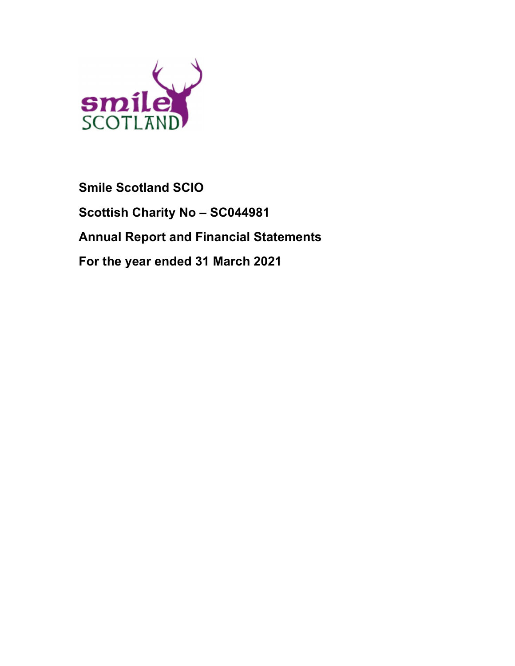

# Smile Scotland SCIO Scottish Charity No – SC044981 Annual Report and Financial Statements For the year ended 31 March 2021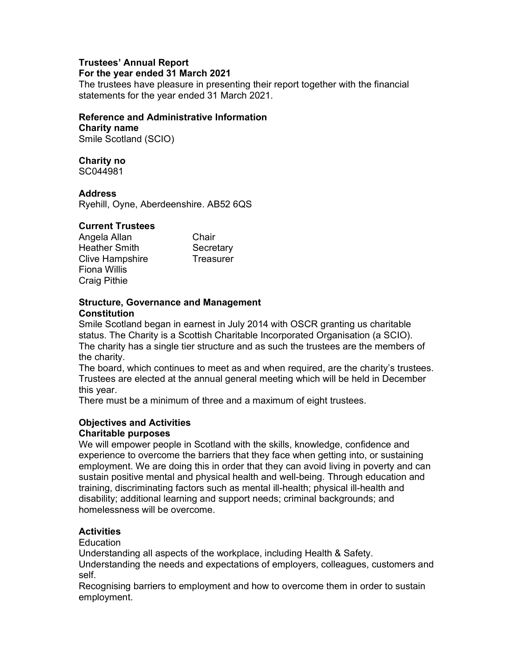# Trustees' Annual Report

# For the year ended 31 March 2021

The trustees have pleasure in presenting their report together with the financial statements for the year ended 31 March 2021.

#### Reference and Administrative Information

Charity name Smile Scotland (SCIO)

# Charity no

SC044981

# **Address**

Ryehill, Oyne, Aberdeenshire. AB52 6QS

# Current Trustees

Angela Allan Chair Heather Smith Secretary Clive Hampshire Treasurer Fiona Willis Craig Pithie

# Structure, Governance and Management **Constitution**

Smile Scotland began in earnest in July 2014 with OSCR granting us charitable status. The Charity is a Scottish Charitable Incorporated Organisation (a SCIO). The charity has a single tier structure and as such the trustees are the members of the charity.

The board, which continues to meet as and when required, are the charity's trustees. Trustees are elected at the annual general meeting which will be held in December this year.

There must be a minimum of three and a maximum of eight trustees.

# Objectives and Activities

# Charitable purposes

We will empower people in Scotland with the skills, knowledge, confidence and experience to overcome the barriers that they face when getting into, or sustaining employment. We are doing this in order that they can avoid living in poverty and can sustain positive mental and physical health and well-being. Through education and training, discriminating factors such as mental ill-health; physical ill-health and disability; additional learning and support needs; criminal backgrounds; and homelessness will be overcome.

# **Activities**

**Education** 

Understanding all aspects of the workplace, including Health & Safety.

Understanding the needs and expectations of employers, colleagues, customers and self.

Recognising barriers to employment and how to overcome them in order to sustain employment.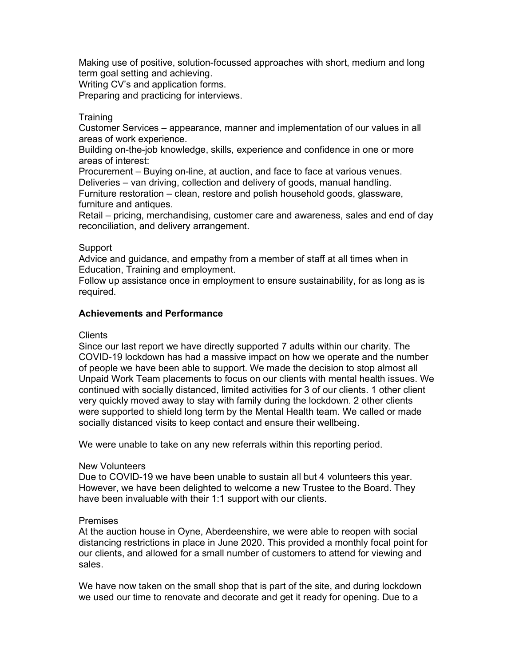Making use of positive, solution-focussed approaches with short, medium and long term goal setting and achieving.

Writing CV's and application forms.

Preparing and practicing for interviews.

#### **Training**

Customer Services – appearance, manner and implementation of our values in all areas of work experience.

Building on-the-job knowledge, skills, experience and confidence in one or more areas of interest:

Procurement – Buying on-line, at auction, and face to face at various venues. Deliveries – van driving, collection and delivery of goods, manual handling.

Furniture restoration – clean, restore and polish household goods, glassware, furniture and antiques.

Retail – pricing, merchandising, customer care and awareness, sales and end of day reconciliation, and delivery arrangement.

#### Support

Advice and guidance, and empathy from a member of staff at all times when in Education, Training and employment.

Follow up assistance once in employment to ensure sustainability, for as long as is required.

#### Achievements and Performance

#### Clients

Since our last report we have directly supported 7 adults within our charity. The COVID-19 lockdown has had a massive impact on how we operate and the number of people we have been able to support. We made the decision to stop almost all Unpaid Work Team placements to focus on our clients with mental health issues. We continued with socially distanced, limited activities for 3 of our clients. 1 other client very quickly moved away to stay with family during the lockdown. 2 other clients were supported to shield long term by the Mental Health team. We called or made socially distanced visits to keep contact and ensure their wellbeing.

We were unable to take on any new referrals within this reporting period.

#### New Volunteers

Due to COVID-19 we have been unable to sustain all but 4 volunteers this year. However, we have been delighted to welcome a new Trustee to the Board. They have been invaluable with their 1:1 support with our clients.

#### Premises

At the auction house in Oyne, Aberdeenshire, we were able to reopen with social distancing restrictions in place in June 2020. This provided a monthly focal point for our clients, and allowed for a small number of customers to attend for viewing and sales.

We have now taken on the small shop that is part of the site, and during lockdown we used our time to renovate and decorate and get it ready for opening. Due to a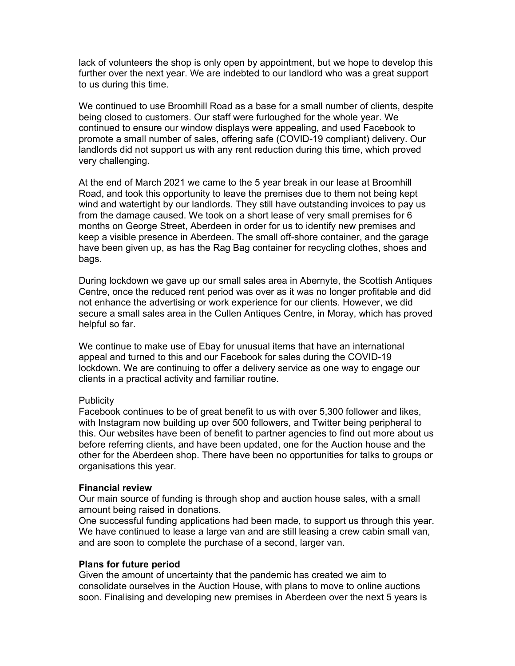lack of volunteers the shop is only open by appointment, but we hope to develop this further over the next year. We are indebted to our landlord who was a great support to us during this time.

We continued to use Broomhill Road as a base for a small number of clients, despite being closed to customers. Our staff were furloughed for the whole year. We continued to ensure our window displays were appealing, and used Facebook to promote a small number of sales, offering safe (COVID-19 compliant) delivery. Our landlords did not support us with any rent reduction during this time, which proved very challenging.

At the end of March 2021 we came to the 5 year break in our lease at Broomhill Road, and took this opportunity to leave the premises due to them not being kept wind and watertight by our landlords. They still have outstanding invoices to pay us from the damage caused. We took on a short lease of very small premises for 6 months on George Street, Aberdeen in order for us to identify new premises and keep a visible presence in Aberdeen. The small off-shore container, and the garage have been given up, as has the Rag Bag container for recycling clothes, shoes and bags.

During lockdown we gave up our small sales area in Abernyte, the Scottish Antiques Centre, once the reduced rent period was over as it was no longer profitable and did not enhance the advertising or work experience for our clients. However, we did secure a small sales area in the Cullen Antiques Centre, in Moray, which has proved helpful so far.

We continue to make use of Ebay for unusual items that have an international appeal and turned to this and our Facebook for sales during the COVID-19 lockdown. We are continuing to offer a delivery service as one way to engage our clients in a practical activity and familiar routine.

#### **Publicity**

Facebook continues to be of great benefit to us with over 5,300 follower and likes, with Instagram now building up over 500 followers, and Twitter being peripheral to this. Our websites have been of benefit to partner agencies to find out more about us before referring clients, and have been updated, one for the Auction house and the other for the Aberdeen shop. There have been no opportunities for talks to groups or organisations this year.

#### Financial review

Our main source of funding is through shop and auction house sales, with a small amount being raised in donations.

One successful funding applications had been made, to support us through this year. We have continued to lease a large van and are still leasing a crew cabin small van, and are soon to complete the purchase of a second, larger van.

#### Plans for future period

Given the amount of uncertainty that the pandemic has created we aim to consolidate ourselves in the Auction House, with plans to move to online auctions soon. Finalising and developing new premises in Aberdeen over the next 5 years is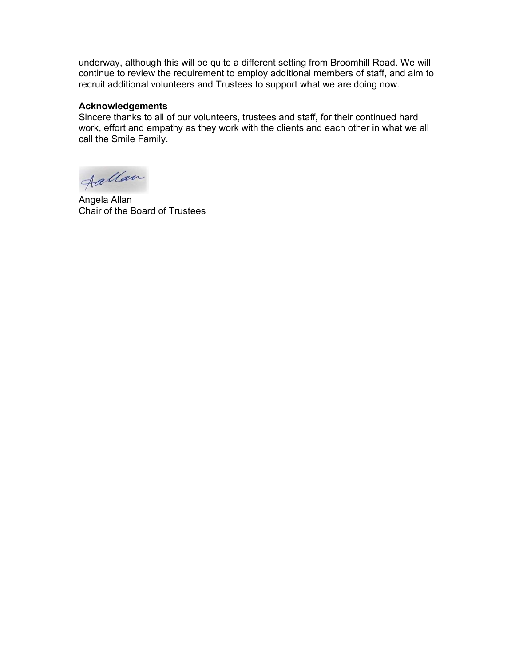underway, although this will be quite a different setting from Broomhill Road. We will continue to review the requirement to employ additional members of staff, and aim to recruit additional volunteers and Trustees to support what we are doing now.

#### Acknowledgements

Sincere thanks to all of our volunteers, trustees and staff, for their continued hard work, effort and empathy as they work with the clients and each other in what we all call the Smile Family.

Aallan

Angela Allan Chair of the Board of Trustees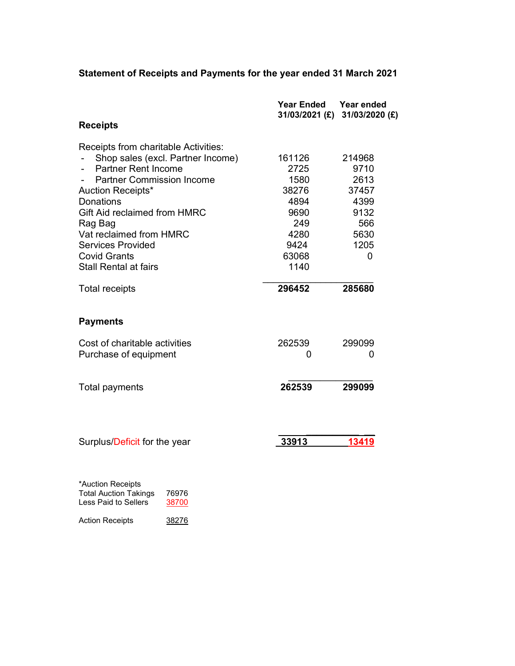# Statement of Receipts and Payments for the year ended 31 March 2021

|                                                                                                    | <b>Year Ended</b><br>31/03/2021 (£) | Year ended<br>31/03/2020 (£) |
|----------------------------------------------------------------------------------------------------|-------------------------------------|------------------------------|
| <b>Receipts</b>                                                                                    |                                     |                              |
| Receipts from charitable Activities:                                                               |                                     |                              |
| Shop sales (excl. Partner Income)                                                                  | 161126                              | 214968                       |
| <b>Partner Rent Income</b>                                                                         | 2725                                | 9710                         |
| <b>Partner Commission Income</b>                                                                   | 1580                                | 2613                         |
| Auction Receipts*                                                                                  | 38276                               | 37457                        |
| <b>Donations</b>                                                                                   | 4894                                | 4399                         |
| Gift Aid reclaimed from HMRC                                                                       | 9690                                | 9132                         |
| Rag Bag                                                                                            | 249                                 | 566                          |
| Vat reclaimed from HMRC                                                                            | 4280                                | 5630                         |
| <b>Services Provided</b>                                                                           | 9424                                | 1205                         |
| <b>Covid Grants</b>                                                                                | 63068                               | $\overline{0}$               |
| <b>Stall Rental at fairs</b>                                                                       | 1140                                |                              |
| <b>Total receipts</b>                                                                              | 296452                              | 285680                       |
| <b>Payments</b>                                                                                    |                                     |                              |
| Cost of charitable activities                                                                      | 262539                              | 299099                       |
| Purchase of equipment                                                                              | 0                                   | 0                            |
|                                                                                                    |                                     |                              |
| Total payments                                                                                     | 262539                              | 299099                       |
|                                                                                                    |                                     |                              |
|                                                                                                    |                                     |                              |
| Surplus/Deficit for the year                                                                       | 33913                               | 13419                        |
|                                                                                                    |                                     |                              |
| *Auction Receipts<br><b>Total Auction Takings</b><br>76976<br><b>Less Paid to Sellers</b><br>38700 |                                     |                              |

Action Receipts 38276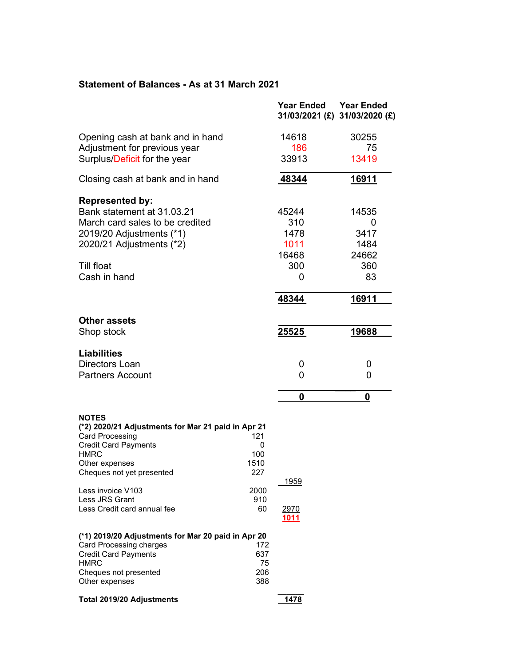# Statement of Balances - As at 31 March 2021

|                                                                                                                                                                                           |                                | <b>Year Ended</b> | <b>Year Ended</b><br>31/03/2021 (£) 31/03/2020 (£) |
|-------------------------------------------------------------------------------------------------------------------------------------------------------------------------------------------|--------------------------------|-------------------|----------------------------------------------------|
| Opening cash at bank and in hand                                                                                                                                                          |                                | 14618             | 30255                                              |
| Adjustment for previous year                                                                                                                                                              |                                | 186               | 75                                                 |
| Surplus/Deficit for the year                                                                                                                                                              |                                | 33913             | 13419                                              |
| Closing cash at bank and in hand                                                                                                                                                          |                                | 48344             | <u>16911</u>                                       |
| <b>Represented by:</b>                                                                                                                                                                    |                                |                   |                                                    |
| Bank statement at 31.03.21                                                                                                                                                                |                                | 45244             | 14535                                              |
| March card sales to be credited                                                                                                                                                           |                                | 310               | 0                                                  |
| 2019/20 Adjustments (*1)                                                                                                                                                                  |                                | 1478              | 3417                                               |
| 2020/21 Adjustments (*2)                                                                                                                                                                  |                                | 1011              | 1484                                               |
|                                                                                                                                                                                           |                                | 16468             | 24662                                              |
| <b>Till float</b>                                                                                                                                                                         |                                | 300               | 360                                                |
| Cash in hand                                                                                                                                                                              |                                | 0                 | 83                                                 |
|                                                                                                                                                                                           |                                | 48344             | 16911                                              |
| <b>Other assets</b>                                                                                                                                                                       |                                |                   |                                                    |
| Shop stock                                                                                                                                                                                |                                | <u>25525</u>      | 19688                                              |
| <b>Liabilities</b>                                                                                                                                                                        |                                |                   |                                                    |
| Directors Loan                                                                                                                                                                            |                                | 0                 | 0                                                  |
| <b>Partners Account</b>                                                                                                                                                                   |                                | 0                 | 0                                                  |
|                                                                                                                                                                                           |                                | 0                 | 0                                                  |
| <b>NOTES</b><br>(*2) 2020/21 Adjustments for Mar 21 paid in Apr 21<br><b>Card Processing</b><br><b>Credit Card Payments</b><br><b>HMRC</b><br>Other expenses<br>Cheques not yet presented | 121<br>0<br>100<br>1510<br>227 |                   |                                                    |
| Less invoice V103                                                                                                                                                                         | 2000                           | <u> 1959 </u>     |                                                    |
| Less JRS Grant                                                                                                                                                                            | 910                            |                   |                                                    |
| Less Credit card annual fee                                                                                                                                                               | 60                             | 2970<br>1011      |                                                    |
| (*1) 2019/20 Adjustments for Mar 20 paid in Apr 20                                                                                                                                        |                                |                   |                                                    |
| <b>Card Processing charges</b>                                                                                                                                                            | 172                            |                   |                                                    |
| <b>Credit Card Payments</b><br><b>HMRC</b>                                                                                                                                                | 637<br>75                      |                   |                                                    |
| Cheques not presented<br>Other expenses                                                                                                                                                   | 206<br>388                     |                   |                                                    |
| <b>Total 2019/20 Adjustments</b>                                                                                                                                                          |                                | 1478              |                                                    |